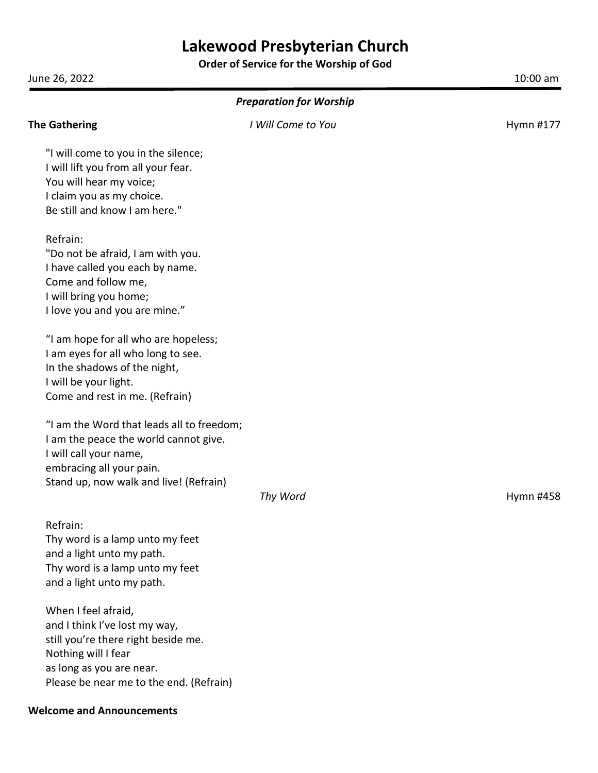# **Lakewood Presbyterian Church**

**Order of Service for the Worship of God**

| June 26, 2022                                                                                                                                                                             |                    | 10:00 am  |
|-------------------------------------------------------------------------------------------------------------------------------------------------------------------------------------------|--------------------|-----------|
| <b>Preparation for Worship</b>                                                                                                                                                            |                    |           |
| <b>The Gathering</b>                                                                                                                                                                      | I Will Come to You | Hymn #177 |
| "I will come to you in the silence;<br>I will lift you from all your fear.<br>You will hear my voice;<br>I claim you as my choice.<br>Be still and know I am here."                       |                    |           |
| Refrain:<br>"Do not be afraid, I am with you.<br>I have called you each by name.<br>Come and follow me,<br>I will bring you home;<br>I love you and you are mine."                        |                    |           |
| "I am hope for all who are hopeless;<br>I am eyes for all who long to see.<br>In the shadows of the night,<br>I will be your light.<br>Come and rest in me. (Refrain)                     |                    |           |
| "I am the Word that leads all to freedom;<br>I am the peace the world cannot give.<br>I will call your name,<br>embracing all your pain.<br>Stand up, now walk and live! (Refrain)        | Thy Word           | Hymn #458 |
| Refrain:<br>Thy word is a lamp unto my feet<br>and a light unto my path.<br>Thy word is a lamp unto my feet<br>and a light unto my path.                                                  |                    |           |
| When I feel afraid,<br>and I think I've lost my way,<br>still you're there right beside me.<br>Nothing will I fear<br>as long as you are near.<br>Please be near me to the end. (Refrain) |                    |           |

#### **Welcome and Announcements**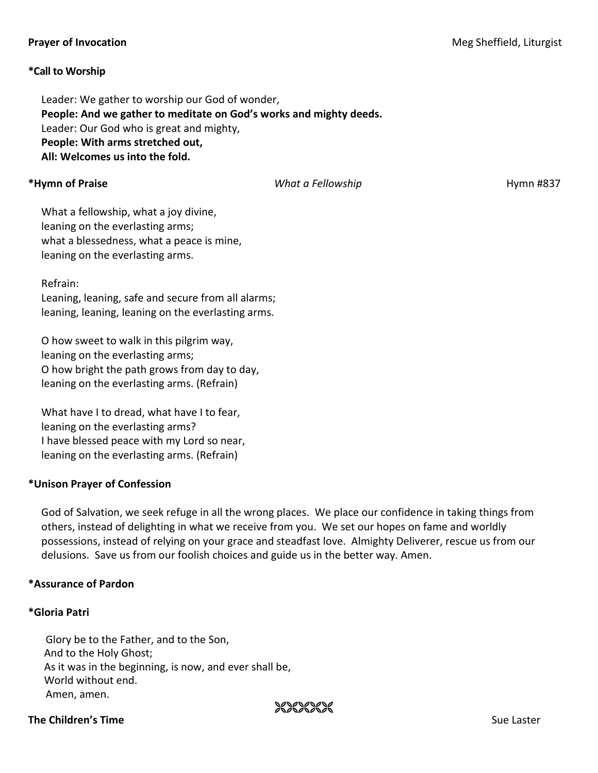# **\*Call to Worship**

Leader: We gather to worship our God of wonder, **People: And we gather to meditate on God's works and mighty deeds.** Leader: Our God who is great and mighty, **People: With arms stretched out, All: Welcomes us into the fold.**

**\*Hymn of Praise** *What a Fellowship* Hymn #837

What a fellowship, what a joy divine, leaning on the everlasting arms; what a blessedness, what a peace is mine, leaning on the everlasting arms.

Refrain:

Leaning, leaning, safe and secure from all alarms; leaning, leaning, leaning on the everlasting arms.

O how sweet to walk in this pilgrim way, leaning on the everlasting arms; O how bright the path grows from day to day, leaning on the everlasting arms. (Refrain)

What have I to dread, what have I to fear, leaning on the everlasting arms? I have blessed peace with my Lord so near, leaning on the everlasting arms. (Refrain)

# **\*Unison Prayer of Confession**

God of Salvation, we seek refuge in all the wrong places. We place our confidence in taking things from others, instead of delighting in what we receive from you. We set our hopes on fame and worldly possessions, instead of relying on your grace and steadfast love. Almighty Deliverer, rescue us from our delusions. Save us from our foolish choices and guide us in the better way. Amen.

XXXXXXX

#### **\*Assurance of Pardon**

# **\*Gloria Patri**

Glory be to the Father, and to the Son, And to the Holy Ghost; As it was in the beginning, is now, and ever shall be, World without end. Amen, amen.

# **The Children's Time and Sue Laster and Sue Laster and Sue Laster and Sue Laster and Sue Laster and Sue Laster**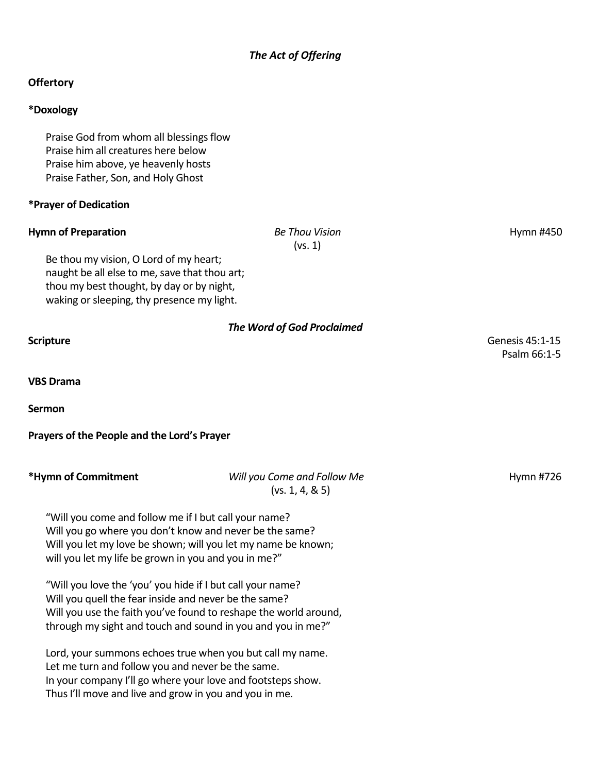# *The Act of Offering*

# **Offertory**

# **\*Doxology**

Praise God from whom all blessings flow Praise him all creatures here below Praise him above, ye heavenly hosts Praise Father, Son, and Holy Ghost

#### **\*Prayer of Dedication**

#### **Hymn of Preparation** *Be Thou Vision* **<b>***Be Thou Vision Hymn #450*

(vs. 1)

Be thou my vision, O Lord of my heart; naught be all else to me, save that thou art; thou my best thought, by day or by night, waking or sleeping, thy presence my light.

*The Word of God Proclaimed* **Scripture** Genesis 45:1-15 Psalm 66:1-5 **VBS Drama Sermon Prayers of the People and the Lord's Prayer \*Hymn of Commitment** *Will you Come and Follow Me* Hymn #726  $(vs. 1, 4, 8, 5)$ "Will you come and follow me if I but call your name? Will you go where you don't know and never be the same? Will you let my love be shown; will you let my name be known; will you let my life be grown in you and you in me?" "Will you love the 'you' you hide if I but call your name? Will you quell the fear inside and never be the same? Will you use the faith you've found to reshape the world around, through my sight and touch and sound in you and you in me?" Lord, your summons echoes true when you but call my name. Let me turn and follow you and never be the same. In your company I'll go where your love and footsteps show. Thus I'll move and live and grow in you and you in me.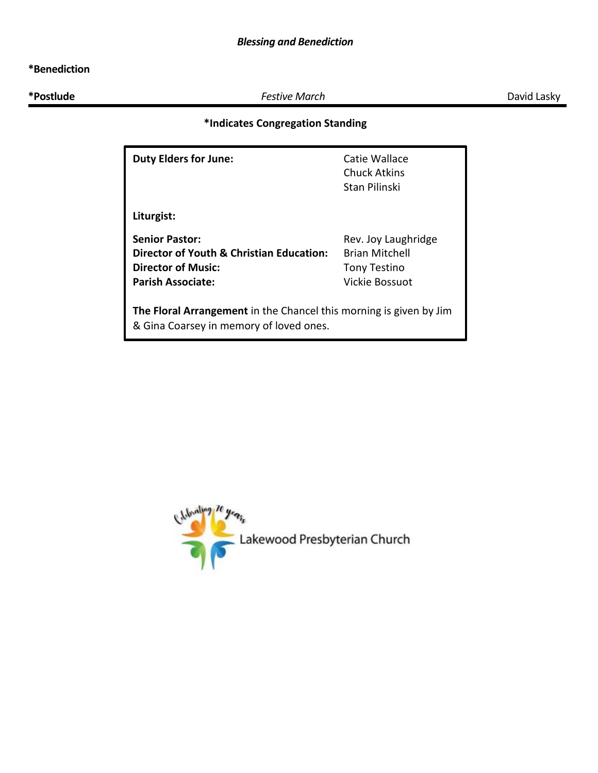# **\*Benediction**

**\*Postlude** *Festive March* David Lasky

# **\*Indicates Congregation Standing**

| <b>Duty Elders for June:</b>                                                                                  | Catie Wallace<br>Chuck Atkins<br>Stan Pilinski |  |
|---------------------------------------------------------------------------------------------------------------|------------------------------------------------|--|
| Liturgist:                                                                                                    |                                                |  |
| <b>Senior Pastor:</b>                                                                                         | Rev. Joy Laughridge                            |  |
| Director of Youth & Christian Education:                                                                      | <b>Brian Mitchell</b>                          |  |
| <b>Director of Music:</b>                                                                                     | <b>Tony Testino</b>                            |  |
| <b>Parish Associate:</b>                                                                                      | Vickie Bossuot                                 |  |
| The Floral Arrangement in the Chancel this morning is given by Jim<br>& Gina Coarsey in memory of loved ones. |                                                |  |